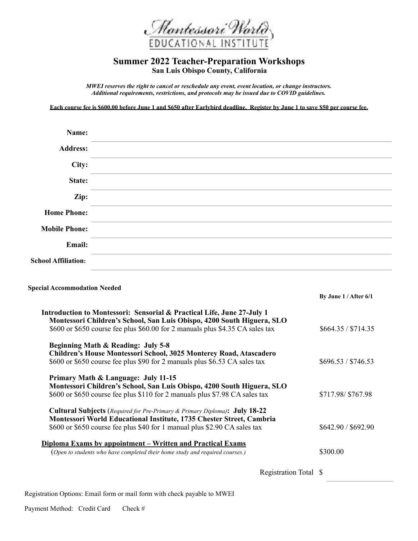

## **Summer 2022 Teacher-Preparation Workshops San Luis Obispo County, California**

*MWEI reserves the right to cancel or reschedule any event, event location, or change instructors. Additional requirements, restrictions, and protocols may be issued due to COVID guidelines.* 

**Each course fee is \$600.00 before June 1 and \$650 after Earlybird deadline. Register by June 1 to save \$50 per course fee.** 

| Name:                      |                                                                                                                                                                                                                               |
|----------------------------|-------------------------------------------------------------------------------------------------------------------------------------------------------------------------------------------------------------------------------|
| <b>Address:</b>            |                                                                                                                                                                                                                               |
| City:                      | the control of the control of the control of the control of the control of the control of the control of the control of the control of the control of the control of the control of the control of the control of the control |
| State:                     | the contract of the contract of the contract of the contract of the contract of the contract of                                                                                                                               |
| Zip:                       |                                                                                                                                                                                                                               |
| <b>Home Phone:</b>         |                                                                                                                                                                                                                               |
| <b>Mobile Phone:</b>       |                                                                                                                                                                                                                               |
| Email:                     |                                                                                                                                                                                                                               |
| <b>School Affiliation:</b> |                                                                                                                                                                                                                               |

## **Special Accommodation Needed**

|                                                                                          | By June $1/A$ fter $6/1$ |
|------------------------------------------------------------------------------------------|--------------------------|
| <b>Introduction to Montessori: Sensorial &amp; Practical Life, June 27-July 1</b>        |                          |
| Montessori Children's School, San Luis Obispo, 4200 South Higuera, SLO                   |                          |
| \$600 or \$650 course fee plus \$60.00 for 2 manuals plus \$4.35 CA sales tax            | \$664.35 / \$714.35      |
| Beginning Math & Reading: July 5-8                                                       |                          |
| Children's House Montessori School, 3025 Monterey Road, Atascadero                       |                          |
| \$600 or \$650 course fee plus \$90 for 2 manuals plus \$6.53 CA sales tax               | \$696.53 / \$746.53      |
| Primary Math & Language: July 11-15                                                      |                          |
| Montessori Children's School, San Luis Obispo, 4200 South Higuera, SLO                   |                          |
| \$600 or \$650 course fee plus \$110 for 2 manuals plus \$7.98 CA sales tax              | \$717.98/\$767.98        |
| <b>Cultural Subjects</b> (Required for Pre-Primary & Primary Diploma): <b>July 18-22</b> |                          |
| Montessori World Educational Institute, 1735 Chester Street, Cambria                     |                          |
| \$600 or \$650 course fee plus \$40 for 1 manual plus \$2.90 CA sales tax                | \$642.90 / \$692.90      |
| <u><b>Diploma Exams by appointment – Written and Practical Exams</b></u>                 |                          |
| (Open to students who have completed their home study and required courses.)             | \$300.00                 |
|                                                                                          |                          |
|                                                                                          |                          |
| Registration Total \$                                                                    |                          |

Registration Options: Email form or mail form with check payable to MWEI

Payment Method: Credit Card Check #